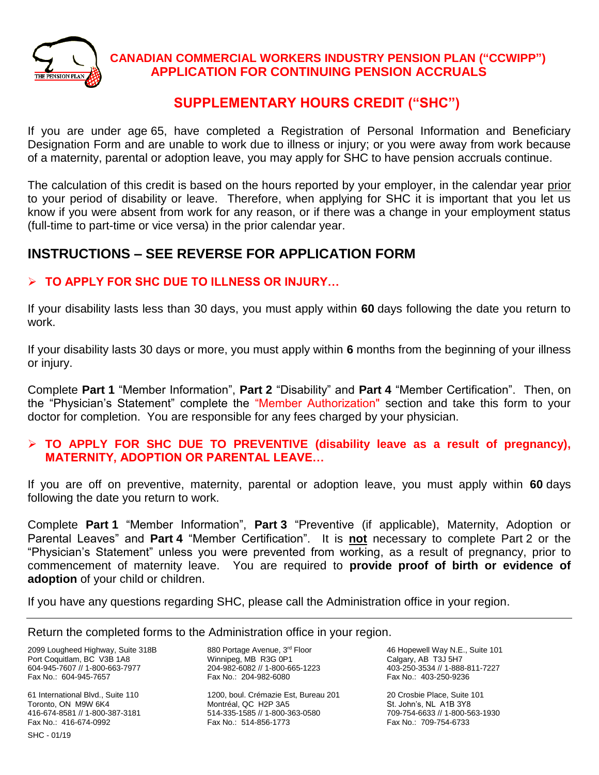

## **CANADIAN COMMERCIAL WORKERS INDUSTRY PENSION PLAN ("CCWIPP") APPLICATION FOR CONTINUING PENSION ACCRUALS**

## **SUPPLEMENTARY HOURS CREDIT ("SHC")**

If you are under age 65, have completed a Registration of Personal Information and Beneficiary Designation Form and are unable to work due to illness or injury; or you were away from work because of a maternity, parental or adoption leave, you may apply for SHC to have pension accruals continue.

The calculation of this credit is based on the hours reported by your employer, in the calendar year prior to your period of disability or leave. Therefore, when applying for SHC it is important that you let us know if you were absent from work for any reason, or if there was a change in your employment status (full-time to part-time or vice versa) in the prior calendar year.

# **INSTRUCTIONS – SEE REVERSE FOR APPLICATION FORM**

## ➢ **TO APPLY FOR SHC DUE TO ILLNESS OR INJURY…**

If your disability lasts less than 30 days, you must apply within **60** days following the date you return to work.

If your disability lasts 30 days or more, you must apply within **6** months from the beginning of your illness or injury.

Complete **Part 1** "Member Information", **Part 2** "Disability" and **Part 4** "Member Certification". Then, on the "Physician's Statement" complete the "Member Authorization" section and take this form to your doctor for completion. You are responsible for any fees charged by your physician.

### ➢ **TO APPLY FOR SHC DUE TO PREVENTIVE (disability leave as a result of pregnancy), MATERNITY, ADOPTION OR PARENTAL LEAVE…**

If you are off on preventive, maternity, parental or adoption leave, you must apply within **60** days following the date you return to work.

Complete **Part 1** "Member Information", **Part 3** "Preventive (if applicable), Maternity, Adoption or Parental Leaves" and **Part 4** "Member Certification". It is **not** necessary to complete Part 2 or the "Physician's Statement" unless you were prevented from working, as a result of pregnancy, prior to commencement of maternity leave. You are required to **provide proof of birth or evidence of adoption** of your child or children.

If you have any questions regarding SHC, please call the Administration office in your region.

Return the completed forms to the Administration office in your region.

2099 Lougheed Highway, Suite 318B Port Coquitlam, BC V3B 1A8 604-945-7607 // 1-800-663-7977 Fax No.: 604-945-7657

61 International Blvd., Suite 110 Toronto, ON M9W 6K4 416-674-8581 // 1-800-387-3181 Fax No.: 416-674-0992

880 Portage Avenue, 3rd Floor Winnipeg, MB R3G 0P1 204-982-6082 // 1-800-665-1223 Fax No.: 204-982-6080

1200, boul. Crémazie Est, Bureau 201 Montréal, QC H2P 3A5 514-335-1585 // 1-800-363-0580 Fax No.: 514-856-1773

46 Hopewell Way N.E., Suite 101 Calgary, AB T3J 5H7 403-250-3534 // 1-888-811-7227 Fax No.: 403-250-9236

20 Crosbie Place, Suite 101 St. John's, NL A1B 3Y8 709-754-6633 // 1-800-563-1930 Fax No.: 709-754-6733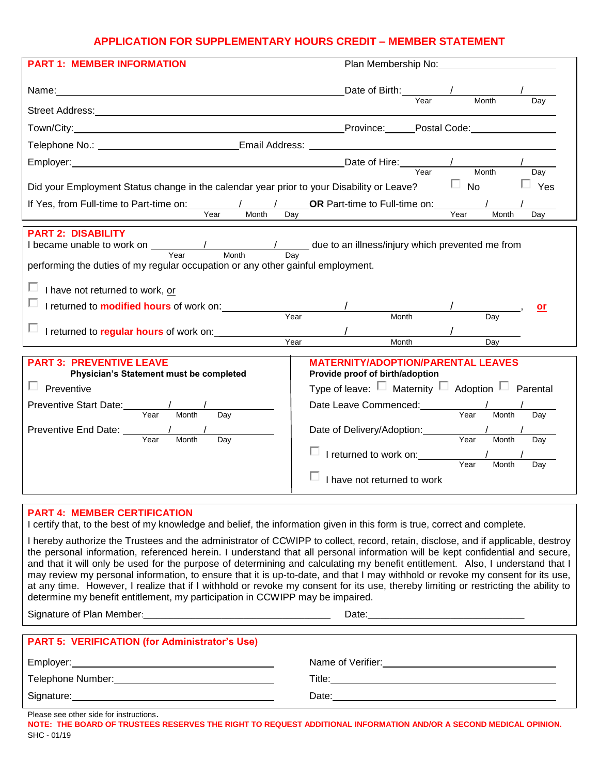### **APPLICATION FOR SUPPLEMENTARY HOURS CREDIT – MEMBER STATEMENT**

| <b>PART 1: MEMBER INFORMATION</b>                                                                                                                                                                                                                                              | Plan Membership No: Now we have the control of the control of the control of the control of the control of the control of the control of the control of the control of the control of the control of the control of the contro |  |
|--------------------------------------------------------------------------------------------------------------------------------------------------------------------------------------------------------------------------------------------------------------------------------|--------------------------------------------------------------------------------------------------------------------------------------------------------------------------------------------------------------------------------|--|
|                                                                                                                                                                                                                                                                                | Date of Birth: $\frac{1}{\text{Year}}$<br>Month<br>$\overline{Dav}$                                                                                                                                                            |  |
|                                                                                                                                                                                                                                                                                |                                                                                                                                                                                                                                |  |
|                                                                                                                                                                                                                                                                                |                                                                                                                                                                                                                                |  |
| Telephone No.: ____________________________Email Address: _______________________                                                                                                                                                                                              |                                                                                                                                                                                                                                |  |
| Employer: <u> Filmployer</u> <b>Employer Employer Employer Employer Employer Employer Employer Employer Employer Employer Employer Employer Employer Employer Employer Employer Empl</b>                                                                                       |                                                                                                                                                                                                                                |  |
| Did your Employment Status change in the calendar year prior to your Disability or Leave?                                                                                                                                                                                      | Day<br>$\square$ No<br>$\Box$ Yes                                                                                                                                                                                              |  |
| Year<br>Month<br>Dav                                                                                                                                                                                                                                                           | Year<br>Month<br>Day                                                                                                                                                                                                           |  |
| <b>PART 2: DISABILITY</b><br>I became unable to work on $\frac{1}{\sqrt{1-\frac{1}{n}}}$ Month Day due to an illness/injury which prevented me from<br>performing the duties of my regular occupation or any other gainful employment.<br>ш<br>I have not returned to work, or |                                                                                                                                                                                                                                |  |
| $\Box$ I returned to <b>modified hours</b> of work on:                                                                                                                                                                                                                         | or                                                                                                                                                                                                                             |  |
| Year<br>□ I returned to regular hours of work on:<br>Year                                                                                                                                                                                                                      | Month<br>Day<br>$\overline{Dav}$<br>Month                                                                                                                                                                                      |  |
| <b>PART 3: PREVENTIVE LEAVE</b><br>Physician's Statement must be completed                                                                                                                                                                                                     | <b>MATERNITY/ADOPTION/PARENTAL LEAVES</b><br>Provide proof of birth/adoption                                                                                                                                                   |  |
| $\Box$ Preventive                                                                                                                                                                                                                                                              | Type of leave: $\Box$ Maternity $\Box$ Adoption $\Box$ Parental                                                                                                                                                                |  |
| Day                                                                                                                                                                                                                                                                            | Date Leave Commenced: Vear<br>Month<br>Day                                                                                                                                                                                     |  |
| Day                                                                                                                                                                                                                                                                            | Day<br>I returned to work on: 1 Year Month<br>Day                                                                                                                                                                              |  |
|                                                                                                                                                                                                                                                                                | ப<br>I have not returned to work                                                                                                                                                                                               |  |
|                                                                                                                                                                                                                                                                                |                                                                                                                                                                                                                                |  |

### **PART 4: MEMBER CERTIFICATION**

I certify that, to the best of my knowledge and belief, the information given in this form is true, correct and complete.

I hereby authorize the Trustees and the administrator of CCWIPP to collect, record, retain, disclose, and if applicable, destroy the personal information, referenced herein. I understand that all personal information will be kept confidential and secure, and that it will only be used for the purpose of determining and calculating my benefit entitlement. Also, I understand that I may review my personal information, to ensure that it is up-to-date, and that I may withhold or revoke my consent for its use, at any time. However, I realize that if I withhold or revoke my consent for its use, thereby limiting or restricting the ability to determine my benefit entitlement, my participation in CCWIPP may be impaired.

Signature of Plan Member:\_\_\_\_\_\_\_\_\_\_\_\_\_\_\_\_\_\_\_\_\_\_\_\_\_\_\_\_\_\_\_\_\_\_\_\_\_\_\_\_\_\_\_ Date:\_\_\_\_\_\_\_\_\_\_\_\_\_\_\_\_\_\_\_\_\_\_\_\_\_\_\_\_\_\_\_\_\_\_\_\_

| <b>PART 5: VERIFICATION (for Administrator's Use)</b> |                   |
|-------------------------------------------------------|-------------------|
| Employer:                                             | Name of Verifier: |
| Telephone Number:                                     | Title:            |
| Signature:                                            | Date:             |

Please see other side for instructions.

SHC - 01/19 **NOTE: THE BOARD OF TRUSTEES RESERVES THE RIGHT TO REQUEST ADDITIONAL INFORMATION AND/OR A SECOND MEDICAL OPINION.**